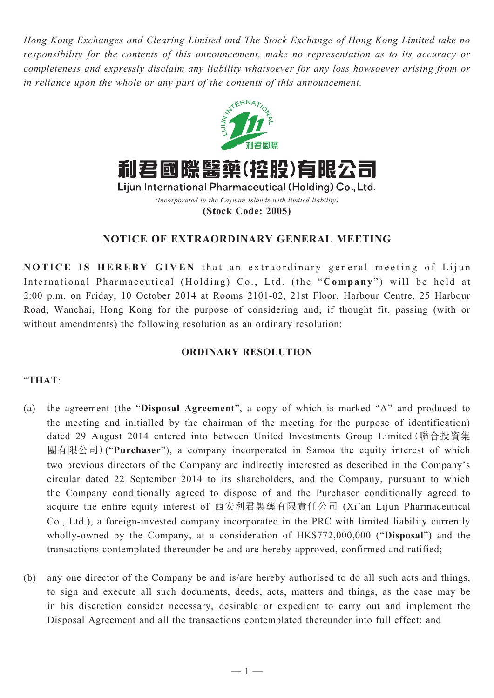*Hong Kong Exchanges and Clearing Limited and The Stock Exchange of Hong Kong Limited take no responsibility for the contents of this announcement, make no representation as to its accuracy or completeness and expressly disclaim any liability whatsoever for any loss howsoever arising from or in reliance upon the whole or any part of the contents of this announcement.*



**(Stock Code: 2005)**

## **NOTICE OF EXTRAORDINARY GENERAL MEETING**

**NOTICE IS HEREBY GIVEN** that an extraordinary general meeting of Lijun International Pharmaceutical (Holding) Co., Ltd. (the "**Company**") will be held at 2:00 p.m. on Friday, 10 October 2014 at Rooms 2101-02, 21st Floor, Harbour Centre, 25 Harbour Road, Wanchai, Hong Kong for the purpose of considering and, if thought fit, passing (with or without amendments) the following resolution as an ordinary resolution:

## **ORDINARY RESOLUTION**

## "**THAT**:

- (a) the agreement (the "**Disposal Agreement**", a copy of which is marked "A" and produced to the meeting and initialled by the chairman of the meeting for the purpose of identification) dated 29 August 2014 entered into between United Investments Group Limited(聯合投資集 團有限公司)("**Purchaser**"), a company incorporated in Samoa the equity interest of which two previous directors of the Company are indirectly interested as described in the Company's circular dated 22 September 2014 to its shareholders, and the Company, pursuant to which the Company conditionally agreed to dispose of and the Purchaser conditionally agreed to acquire the entire equity interest of 西安利君製藥有限責任公司 (Xi'an Lijun Pharmaceutical Co., Ltd.), a foreign-invested company incorporated in the PRC with limited liability currently wholly-owned by the Company, at a consideration of HK\$772,000,000 ("**Disposal**") and the transactions contemplated thereunder be and are hereby approved, confirmed and ratified;
- (b) any one director of the Company be and is/are hereby authorised to do all such acts and things, to sign and execute all such documents, deeds, acts, matters and things, as the case may be in his discretion consider necessary, desirable or expedient to carry out and implement the Disposal Agreement and all the transactions contemplated thereunder into full effect; and